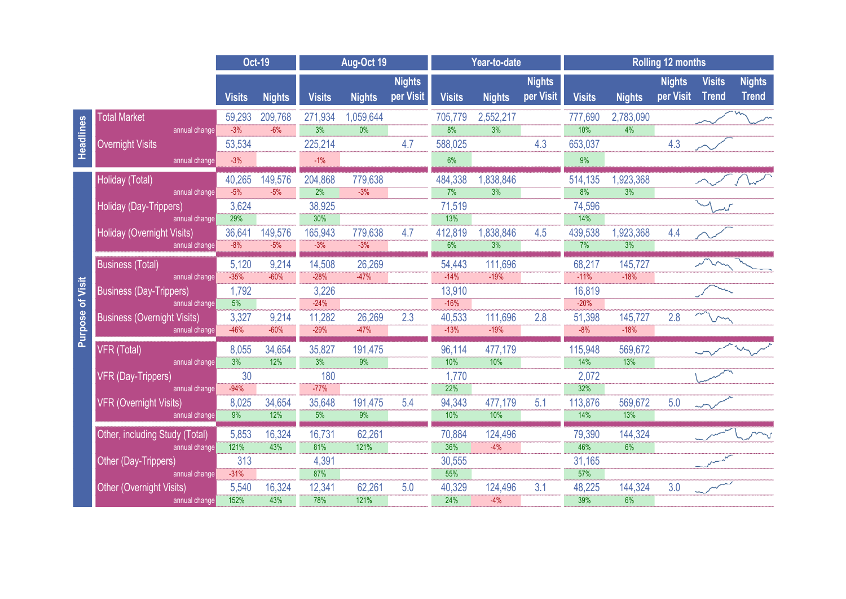|                            |                                                    | <b>Oct-19</b>    |                  | Aug-Oct 19       |                             |                            | Year-to-date     |                               |                            | <b>Rolling 12 months</b> |                   |                            |                               |                               |  |
|----------------------------|----------------------------------------------------|------------------|------------------|------------------|-----------------------------|----------------------------|------------------|-------------------------------|----------------------------|--------------------------|-------------------|----------------------------|-------------------------------|-------------------------------|--|
|                            |                                                    | <b>Visits</b>    | <b>Nights</b>    | <b>Visits</b>    | <b>Nights</b>               | <b>Nights</b><br>per Visit | <b>Visits</b>    | <b>Nights</b>                 | <b>Nights</b><br>per Visit | <b>Visits</b>            | <b>Nights</b>     | <b>Nights</b><br>per Visit | <b>Visits</b><br><b>Trend</b> | <b>Nights</b><br><b>Trend</b> |  |
| Headlines                  | <b>Total Market</b>                                | 59,293           | 209,768          | 271,934          | ,059,644                    |                            | 705,779          | 2,552,217                     |                            | 777,690                  | 2,783,090         |                            |                               |                               |  |
|                            | annual change                                      | $-3%$            | $-6%$            | $\overline{3\%}$ | 0%                          |                            | $\overline{8\%}$ | 3%                            |                            | 10%                      | 4%                |                            |                               |                               |  |
|                            | <b>Overnight Visits</b>                            | 53,534           |                  | 225,214          |                             | 4.7                        | 588,025          |                               | 4.3                        | 653,037                  |                   | 4.3                        |                               |                               |  |
|                            | annual change                                      | $-3%$            |                  | $-1%$            |                             |                            | 6%               |                               |                            | 9%                       |                   |                            |                               |                               |  |
| of Visit<br><b>Purpose</b> | Holiday (Total)                                    | 40,265           | 149,576          | 204,868          | 779,638                     |                            | 484,338          | 1,838,846                     |                            | 514,135                  | 1,923,368         |                            |                               |                               |  |
|                            | annual change                                      | $-5%$            | $-5%$            | 2%               | $-3%$                       |                            | 7%               | 3%                            |                            | 8%                       | 3%                |                            |                               |                               |  |
|                            | Holiday (Day-Trippers)                             | 3,624            |                  | 38,925           |                             |                            | 71,519           |                               |                            | 74,596                   |                   |                            |                               |                               |  |
|                            | annual change                                      | 29%              |                  | 30%              |                             |                            | 13%              |                               |                            | 14%                      |                   |                            |                               |                               |  |
|                            | <b>Holiday (Overnight Visits)</b><br>annual change | 36,641<br>$-8%$  | 149,576<br>$-5%$ | 165,943<br>$-3%$ | 779,638<br>$-3%$            | 4.7                        | 412,819<br>6%    | 1,838,846<br>$\overline{3\%}$ | 4.5                        | 439,538<br>7%            | 1,923,368<br>3%   | 4.4                        |                               |                               |  |
|                            |                                                    |                  |                  |                  |                             |                            |                  |                               |                            |                          |                   |                            |                               |                               |  |
|                            | <b>Business (Total)</b><br>annual change           | 5,120<br>$-35%$  | 9,214<br>$-60%$  | 14,508<br>$-28%$ | 26,269<br>$-47%$            |                            | 54,443<br>$-14%$ | 111,696<br>$-19%$             |                            | 68,217<br>$-11%$         | 145,727<br>$-18%$ |                            |                               |                               |  |
|                            | <b>Business (Day-Trippers)</b>                     | 1,792            |                  | 3,226            |                             |                            | 13,910           |                               |                            | 16,819                   |                   |                            |                               |                               |  |
|                            | annual change                                      | 5%               |                  | $-24%$           |                             |                            | $-16%$           |                               |                            | $-20%$                   |                   |                            |                               |                               |  |
|                            | <b>Business (Overnight Visits)</b>                 | 3,327            | 9,214            | 11,282           | 26,269                      | 2.3                        | 40,533           | 111,696                       | 2.8                        | 51,398                   | 145,727           | 2.8                        |                               |                               |  |
|                            | annual change                                      | $-46%$           | $-60%$           | $-29%$           | $-47%$                      |                            | $-13%$           | $-19%$                        |                            | $-8%$                    | $-18%$            |                            |                               |                               |  |
|                            | VFR (Total)                                        | 8,055            | 34,654           | 35,827           | 191,475                     |                            | 96,114           | 477,179                       |                            | 115,948                  | 569,672           |                            |                               |                               |  |
|                            | annual change                                      | $\overline{3\%}$ | 12%              | $\frac{1}{3\%}$  | 9%                          |                            | 10%              | 10%                           |                            | 14%                      | 13%               |                            |                               |                               |  |
|                            | <b>VFR (Day-Trippers)</b>                          | 30               |                  | 180              |                             |                            | 1,770            |                               |                            | 2,072                    |                   |                            |                               |                               |  |
|                            | annual change                                      | $-94%$           |                  | $-77%$           |                             |                            | 22%              |                               |                            | 32%                      |                   |                            |                               |                               |  |
|                            | <b>VFR (Overnight Visits)</b><br>annual change     | 8,025<br>9%      | 34,654<br>12%    | 35,648<br>5%     | 191,475<br>$\overline{9\%}$ | 5.4                        | 94,343<br>10%    | 477,179<br>10%                | 5.1                        | 113,876<br>14%           | 569,672<br>13%    | 5.0                        |                               |                               |  |
|                            |                                                    |                  |                  |                  |                             |                            |                  |                               |                            |                          |                   |                            |                               |                               |  |
|                            | Other, including Study (Total)<br>annual change    | 5,853<br>121%    | 16,324<br>43%    | 16,731<br>81%    | 62,261<br>121%              |                            | 70,884<br>36%    | 124,496<br>$-4%$              |                            | 79,390<br>46%            | 144,324<br>6%     |                            |                               |                               |  |
|                            | Other (Day-Trippers)                               | 313              |                  | 4,391            |                             |                            | 30,555           |                               |                            | 31,165                   |                   |                            |                               |                               |  |
|                            | annual change                                      | $-31%$           |                  | 87%              |                             |                            | 55%              |                               |                            | 57%                      |                   |                            |                               |                               |  |
|                            | <b>Other (Overnight Visits)</b>                    | 5,540            | 16,324           | 12,341           | 62,261                      | 5.0                        | 40,329           | 124,496                       | 3.1                        | 48,225                   | 144,324           | 3.0                        |                               |                               |  |
|                            | annual change                                      | 152%             | 43%              | 78%              | 121%                        |                            | 24%              | $-4%$                         |                            | 39%                      | 6%                |                            |                               |                               |  |